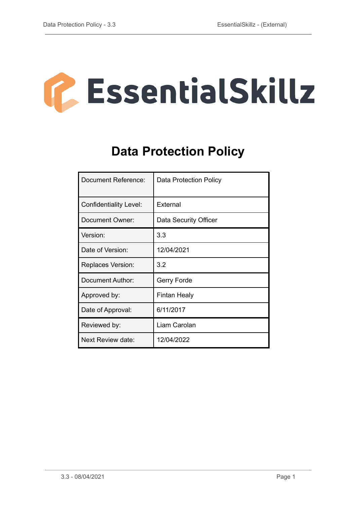

# **Data Protection Policy**

| Document Reference:           | Data Protection Policy |
|-------------------------------|------------------------|
| <b>Confidentiality Level:</b> | External               |
| Document Owner:               | Data Security Officer  |
| Version:                      | 3.3                    |
| Date of Version:              | 12/04/2021             |
| <b>Replaces Version:</b>      | 3.2                    |
| Document Author:              | Gerry Forde            |
| Approved by:                  | Fintan Healy           |
| Date of Approval:             | 6/11/2017              |
| Reviewed by:                  | Liam Carolan           |
| Next Review date:             | 12/04/2022             |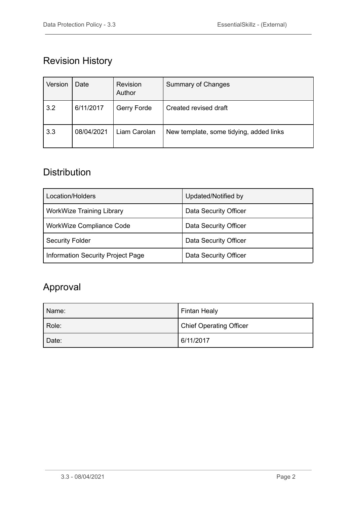## Revision History

| Version | Date       | Revision<br>Author | <b>Summary of Changes</b>               |
|---------|------------|--------------------|-----------------------------------------|
| 3.2     | 6/11/2017  | Gerry Forde        | Created revised draft                   |
| 3.3     | 08/04/2021 | Liam Carolan       | New template, some tidying, added links |

### **Distribution**

| Location/Holders                  | Updated/Notified by   |
|-----------------------------------|-----------------------|
| <b>WorkWize Training Library</b>  | Data Security Officer |
| WorkWize Compliance Code          | Data Security Officer |
| <b>Security Folder</b>            | Data Security Officer |
| Information Security Project Page | Data Security Officer |

## Approval

| Name: | <b>Fintan Healy</b>            |
|-------|--------------------------------|
| Role: | <b>Chief Operating Officer</b> |
| Date: | 6/11/2017                      |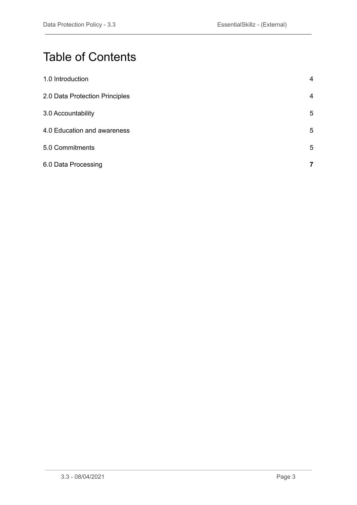# Table of Contents

| 1.0 Introduction               | $\overline{4}$ |
|--------------------------------|----------------|
| 2.0 Data Protection Principles | $\overline{4}$ |
| 3.0 Accountability             | 5              |
| 4.0 Education and awareness    | 5              |
| 5.0 Commitments                | 5              |
| 6.0 Data Processing            | 7              |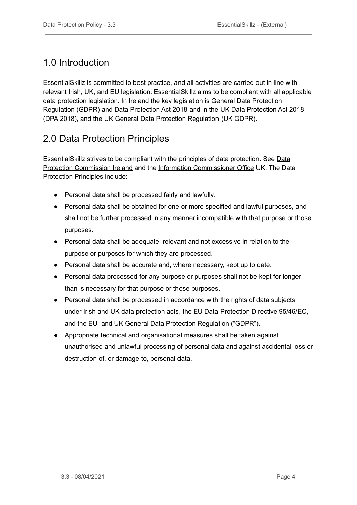## <span id="page-3-0"></span>1.0 Introduction

EssentialSkillz is committed to best practice, and all activities are carried out in line with relevant Irish, UK, and EU legislation. EssentialSkillz aims to be compliant with all applicable data protection legislation. In Ireland the key legislation is General Data [Protection](https://www.dataprotection.ie/en/who-we-are/data-protection-legislation) [Regulation](https://www.dataprotection.ie/en/who-we-are/data-protection-legislation) (GDPR) and Data Protection Act 2018 and in the UK Data [Protection](https://ico.org.uk/for-organisations/guide-to-data-protection/) Act 2018 (DPA 2018), and the UK General Data Protection [Regulation](https://ico.org.uk/for-organisations/guide-to-data-protection/) (UK GDPR).

#### <span id="page-3-1"></span>2.0 Data Protection Principles

EssentialSkillz strives to be compliant with the principles of data protection. See [Data](https://www.dataprotection.ie/en/organisations/data-protection-basics/principles-data-protection) Protection [Commission](https://www.dataprotection.ie/en/organisations/data-protection-basics/principles-data-protection) Ireland and the Information [Commissioner](https://ico.org.uk/for-organisations/guide-to-data-protection/guide-to-the-general-data-protection-regulation-gdpr/principles/#the_principles) Office UK. The Data Protection Principles include:

- Personal data shall be processed fairly and lawfully.
- Personal data shall be obtained for one or more specified and lawful purposes, and shall not be further processed in any manner incompatible with that purpose or those purposes.
- Personal data shall be adequate, relevant and not excessive in relation to the purpose or purposes for which they are processed.
- Personal data shall be accurate and, where necessary, kept up to date.
- Personal data processed for any purpose or purposes shall not be kept for longer than is necessary for that purpose or those purposes.
- Personal data shall be processed in accordance with the rights of data subjects under Irish and UK data protection acts, the EU Data Protection Directive 95/46/EC, and the EU and UK General Data Protection Regulation ("GDPR").
- Appropriate technical and organisational measures shall be taken against unauthorised and unlawful processing of personal data and against accidental loss or destruction of, or damage to, personal data.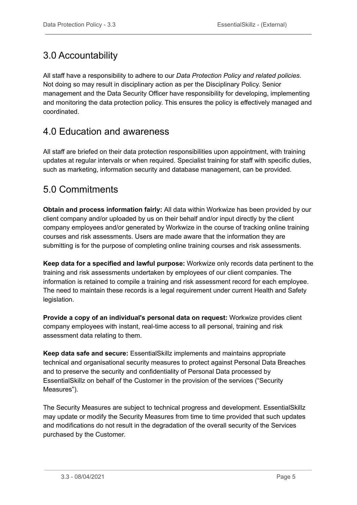### <span id="page-4-0"></span>3.0 Accountability

All staff have a responsibility to adhere to our *Data Protection Policy and related policies*. Not doing so may result in disciplinary action as per the Disciplinary Policy. Senior management and the Data Security Officer have responsibility for developing, implementing and monitoring the data protection policy. This ensures the policy is effectively managed and coordinated.

#### <span id="page-4-1"></span>4.0 Education and awareness

All staff are briefed on their data protection responsibilities upon appointment, with training updates at regular intervals or when required. Specialist training for staff with specific duties, such as marketing, information security and database management, can be provided.

#### <span id="page-4-2"></span>5.0 Commitments

**Obtain and process information fairly:** All data within Workwize has been provided by our client company and/or uploaded by us on their behalf and/or input directly by the client company employees and/or generated by Workwize in the course of tracking online training courses and risk assessments. Users are made aware that the information they are submitting is for the purpose of completing online training courses and risk assessments.

**Keep data for a specified and lawful purpose:** Workwize only records data pertinent to the training and risk assessments undertaken by employees of our client companies. The information is retained to compile a training and risk assessment record for each employee. The need to maintain these records is a legal requirement under current Health and Safety legislation.

**Provide a copy of an individual's personal data on request:** Workwize provides client company employees with instant, real-time access to all personal, training and risk assessment data relating to them.

**Keep data safe and secure:** EssentialSkillz implements and maintains appropriate technical and organisational security measures to protect against Personal Data Breaches and to preserve the security and confidentiality of Personal Data processed by EssentialSkillz on behalf of the Customer in the provision of the services ("Security Measures").

The Security Measures are subject to technical progress and development. EssentialSkillz may update or modify the Security Measures from time to time provided that such updates and modifications do not result in the degradation of the overall security of the Services purchased by the Customer.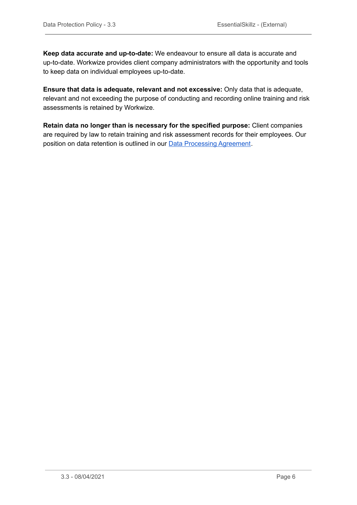**Keep data accurate and up-to-date:** We endeavour to ensure all data is accurate and up-to-date. Workwize provides client company administrators with the opportunity and tools to keep data on individual employees up-to-date.

**Ensure that data is adequate, relevant and not excessive:** Only data that is adequate, relevant and not exceeding the purpose of conducting and recording online training and risk assessments is retained by Workwize.

**Retain data no longer than is necessary for the specified purpose:** Client companies are required by law to retain training and risk assessment records for their employees. Our position on data retention is outlined in our Data [Processing](https://www.essentialskillz.com/docs) Agreement.